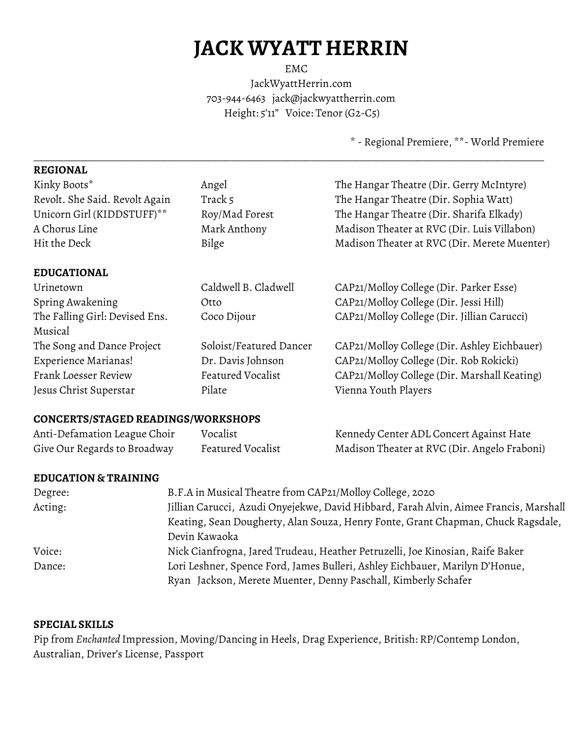# **JACK WYATT HERRIN**

EMC JackWyattHerrin.com 703-944-6463 jack@jackwyattherrin.com Height: 5'11" Voice: Tenor (G2-C5)

\_\_\_\_\_\_\_\_\_\_\_\_\_\_\_\_\_\_\_\_\_\_\_\_\_\_\_\_\_\_\_\_\_\_\_\_\_\_\_\_\_\_\_\_\_\_\_\_\_\_\_\_\_\_\_\_\_\_\_\_\_\_\_\_\_\_\_\_\_\_\_\_\_\_\_\_\_\_\_\_\_\_\_\_\_\_\_\_\_\_\_\_\_\_\_\_\_\_\_\_\_\_\_\_\_\_\_\_\_

\* - Regional Premiere, \*\*- World Premiere

### **REGIONAL**

| Kinky Boots*                   | Angel                   | The Hangar Theatre (Dir. Gerry McIntyre)     |
|--------------------------------|-------------------------|----------------------------------------------|
| Revolt. She Said. Revolt Again | Track 5                 | The Hangar Theatre (Dir. Sophia Watt)        |
| Unicorn Girl (KIDDSTUFF)**     | Roy/Mad Forest          | The Hangar Theatre (Dir. Sharifa Elkady)     |
| A Chorus Line                  | Mark Anthony            | Madison Theater at RVC (Dir. Luis Villabon)  |
| Hit the Deck                   | Bilge                   | Madison Theater at RVC (Dir. Merete Muenter) |
| <b>EDUCATIONAL</b>             |                         |                                              |
| Urinetown                      | Caldwell B. Cladwell    | CAP21/Molloy College (Dir. Parker Esse)      |
| Spring Awakening               | Otto                    | CAP21/Molloy College (Dir. Jessi Hill)       |
| The Falling Girl: Devised Ens. | Coco Dijour             | CAP21/Molloy College (Dir. Jillian Carucci)  |
| Musical                        |                         |                                              |
| The Song and Dance Project     | Soloist/Featured Dancer | CAP21/Molloy College (Dir. Ashley Eichbauer) |
| Experience Marianas!           | Dr. Davis Johnson       | CAP21/Molloy College (Dir. Rob Rokicki)      |
| Frank Loesser Review           | Featured Vocalist       | CAP21/Molloy College (Dir. Marshall Keating) |
| Jesus Christ Superstar         | Pilate                  | Vienna Youth Players                         |
|                                |                         |                                              |

## **CONCERTS/STAGED READINGS/WORKSHOPS**

| Anti-Defamation League Choir | Vocalist          | Kennedy Center ADL Concert Against Hate      |
|------------------------------|-------------------|----------------------------------------------|
| Give Our Regards to Broadway | Featured Vocalist | Madison Theater at RVC (Dir. Angelo Fraboni) |

## **EDUCATION & TRAINING**

| Degree: | B.F.A in Musical Theatre from CAP21/Molloy College, 2020                              |
|---------|---------------------------------------------------------------------------------------|
| Acting: | Jillian Carucci, Azudi Onyejekwe, David Hibbard, Farah Alvin, Aimee Francis, Marshall |
|         | Keating, Sean Dougherty, Alan Souza, Henry Fonte, Grant Chapman, Chuck Ragsdale,      |
|         | Devin Kawaoka                                                                         |
| Voice:  | Nick Cianfrogna, Jared Trudeau, Heather Petruzelli, Joe Kinosian, Raife Baker         |
| Dance:  | Lori Leshner, Spence Ford, James Bulleri, Ashley Eichbauer, Marilyn D'Honue,          |
|         | Ryan Jackson, Merete Muenter, Denny Paschall, Kimberly Schafer                        |

## **SPECIAL SKILLS**

Pip from *Enchanted* Impression, Moving/Dancing in Heels, Drag Experience, British: RP/Contemp London, Australian, Driver's License, Passport